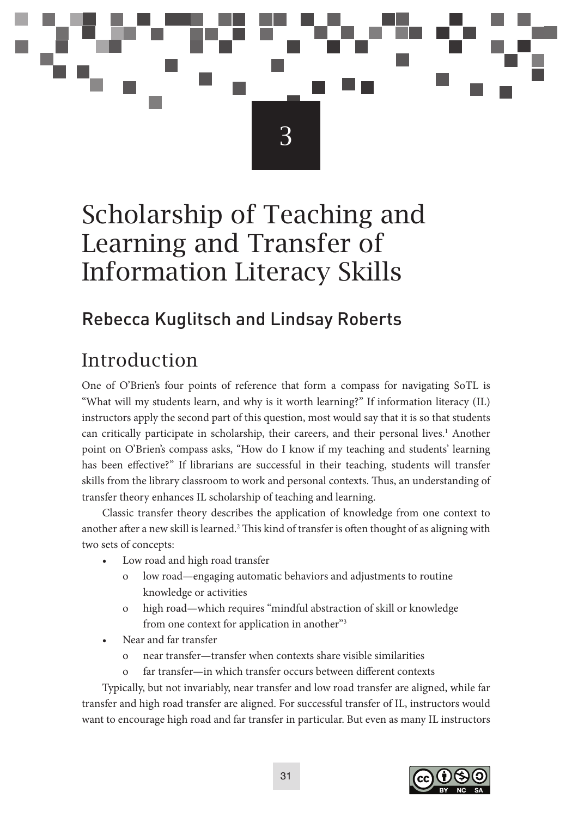

# Scholarship of Teaching and Learning and Transfer of Information Literacy Skills

## Rebecca Kuglitsch and Lindsay Roberts

# Introduction

One of O'Brien's four points of reference that form a compass for navigating SoTL is "What will my students learn, and why is it worth learning?" If information literacy (IL) instructors apply the second part of this question, most would say that it is so that students can critically participate in scholarship, their careers, and their personal lives.<sup>1</sup> Another point on O'Brien's compass asks, "How do I know if my teaching and students' learning has been effective?" If librarians are successful in their teaching, students will transfer skills from the library classroom to work and personal contexts. Thus, an understanding of transfer theory enhances IL scholarship of teaching and learning.

Classic transfer theory describes the application of knowledge from one context to another after a new skill is learned.<sup>2</sup> This kind of transfer is often thought of as aligning with two sets of concepts:

- Low road and high road transfer
	- low road—engaging automatic behaviors and adjustments to routine knowledge or activities
	- o high road—which requires "mindful abstraction of skill or knowledge from one context for application in another"<sup>3</sup>
- Near and far transfer
	- o near transfer—transfer when contexts share visible similarities
	- far transfer—in which transfer occurs between different contexts

Typically, but not invariably, near transfer and low road transfer are aligned, while far transfer and high road transfer are aligned. For successful transfer of IL, instructors would want to encourage high road and far transfer in particular. But even as many IL instructors

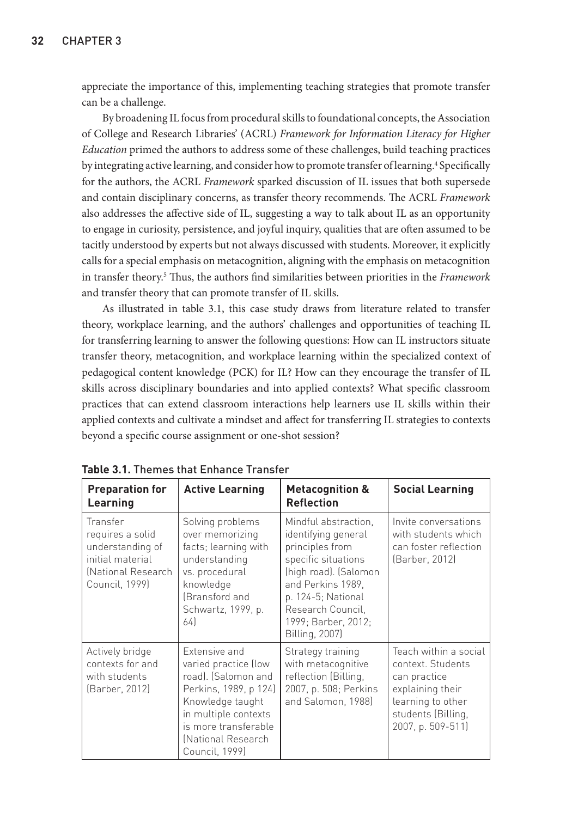appreciate the importance of this, implementing teaching strategies that promote transfer can be a challenge.

By broadening IL focus from procedural skills to foundational concepts, the Association of College and Research Libraries' (ACRL) *Framework for Information Literacy for Higher Education* primed the authors to address some of these challenges, build teaching practices by integrating active learning, and consider how to promote transfer of learning.<sup>4</sup> Specifically for the authors, the ACRL *Framework* sparked discussion of IL issues that both supersede and contain disciplinary concerns, as transfer theory recommends. The ACRL *Framework* also addresses the affective side of IL, suggesting a way to talk about IL as an opportunity to engage in curiosity, persistence, and joyful inquiry, qualities that are often assumed to be tacitly understood by experts but not always discussed with students. Moreover, it explicitly calls for a special emphasis on metacognition, aligning with the emphasis on metacognition in transfer theory.5 Thus, the authors find similarities between priorities in the *Framework*  and transfer theory that can promote transfer of IL skills.

As illustrated in table 3.1, this case study draws from literature related to transfer theory, workplace learning, and the authors' challenges and opportunities of teaching IL for transferring learning to answer the following questions: How can IL instructors situate transfer theory, metacognition, and workplace learning within the specialized context of pedagogical content knowledge (PCK) for IL? How can they encourage the transfer of IL skills across disciplinary boundaries and into applied contexts? What specific classroom practices that can extend classroom interactions help learners use IL skills within their applied contexts and cultivate a mindset and affect for transferring IL strategies to contexts beyond a specific course assignment or one-shot session?

| <b>Preparation for</b><br><b>Learning</b>                                                                    | <b>Active Learning</b>                                                                                                                                                                           | <b>Metacognition &amp;</b><br><b>Reflection</b>                                                                                                                                                                         | <b>Social Learning</b>                                                                                                                         |
|--------------------------------------------------------------------------------------------------------------|--------------------------------------------------------------------------------------------------------------------------------------------------------------------------------------------------|-------------------------------------------------------------------------------------------------------------------------------------------------------------------------------------------------------------------------|------------------------------------------------------------------------------------------------------------------------------------------------|
| Transfer<br>requires a solid<br>understanding of<br>initial material<br>(National Research<br>Council, 1999) | Solving problems<br>over memorizing<br>facts; learning with<br>understanding<br>vs. procedural<br>knowledge<br>Bransford and<br>Schwartz, 1999, p.<br>64                                         | Mindful abstraction,<br>identifying general<br>principles from<br>specific situations<br>(high road). (Salomon<br>and Perkins 1989.<br>p. 124-5; National<br>Research Council.<br>1999; Barber, 2012;<br>Billing, 2007) | Invite conversations<br>with students which<br>can foster reflection<br>[Barber, 2012]                                                         |
| Actively bridge<br>contexts for and<br>with students<br>(Barber, 2012)                                       | Extensive and<br>varied practice (low<br>road). (Salomon and<br>Perkins, 1989, p 124)<br>Knowledge taught<br>in multiple contexts<br>is more transferable<br>National Research<br>Council, 1999) | Strategy training<br>with metacognitive<br>reflection (Billing,<br>2007, p. 508; Perkins<br>and Salomon, 1988)                                                                                                          | Teach within a social<br>context. Students<br>can practice<br>explaining their<br>learning to other<br>students (Billing,<br>2007, p. 509-511) |

| <b>Table 3.1. Themes that Enhance Transfer</b> |
|------------------------------------------------|
|------------------------------------------------|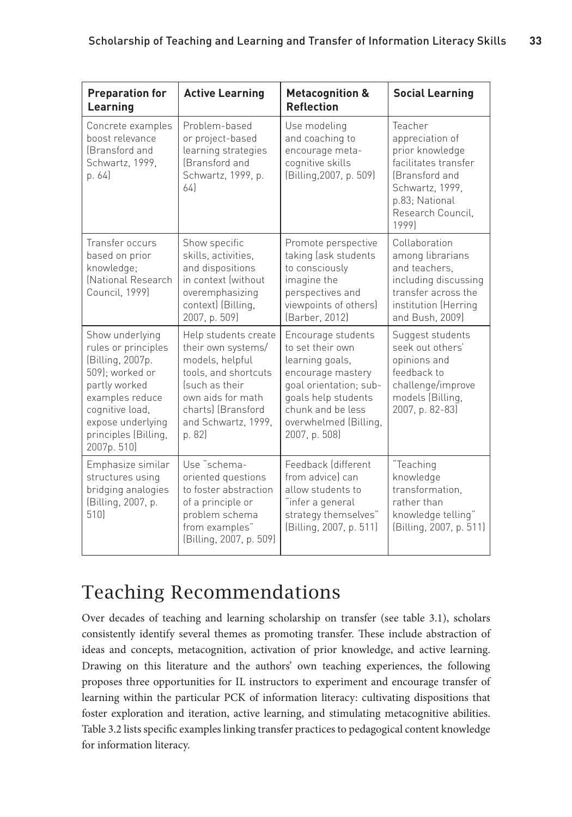| <b>Preparation for</b><br>Learning                                                                                                                                                               | <b>Active Learning</b>                                                                                                                                                              | <b>Metacognition &amp;</b><br><b>Reflection</b>                                                                                                                                                | <b>Social Learning</b>                                                                                                                                     |
|--------------------------------------------------------------------------------------------------------------------------------------------------------------------------------------------------|-------------------------------------------------------------------------------------------------------------------------------------------------------------------------------------|------------------------------------------------------------------------------------------------------------------------------------------------------------------------------------------------|------------------------------------------------------------------------------------------------------------------------------------------------------------|
| Concrete examples<br>boost relevance<br>Bransford and<br>Schwartz, 1999,<br>p. 64)                                                                                                               | Problem-based<br>or project-based<br>learning strategies<br>(Bransford and<br>Schwartz, 1999, p.<br>64                                                                              | Use modeling<br>and coaching to<br>encourage meta-<br>cognitive skills<br>(Billing, 2007, p. 509)                                                                                              | Teacher<br>appreciation of<br>prior knowledge<br>facilitates transfer<br>(Bransford and<br>Schwartz, 1999.<br>p.83; National<br>Research Council,<br>1999) |
| Transfer occurs<br>based on prior<br>knowledge;<br>(National Research<br>Council, 1999)                                                                                                          | Show specific<br>skills, activities,<br>and dispositions<br>in context (without<br>overemphasizing<br>context) (Billing,<br>2007, p. 509)                                           | Promote perspective<br>taking (ask students<br>to consciously<br>imagine the<br>perspectives and<br>viewpoints of others)<br>(Barber, 2012)                                                    | Collaboration<br>among librarians<br>and teachers.<br>including discussing<br>transfer across the<br>institution (Herring<br>and Bush, 2009)               |
| Show underlying<br>rules or principles<br>(Billing, 2007p.<br>509); worked or<br>partly worked<br>examples reduce<br>cognitive load,<br>expose underlying<br>principles (Billing,<br>2007p. 510) | Help students create<br>their own systems/<br>models, helpful<br>tools, and shortcuts<br>(such as their<br>own aids for math<br>charts) (Bransford<br>and Schwartz, 1999,<br>p. 82) | Encourage students<br>to set their own<br>learning goals,<br>encourage mastery<br>goal orientation; sub-<br>goals help students<br>chunk and be less<br>overwhelmed (Billing,<br>2007, p. 508) | Suggest students<br>seek out others'<br>opinions and<br>feedback to<br>challenge/improve<br>models (Billing,<br>2007, p. 82-83)                            |
| Emphasize similar<br>structures using<br>bridging analogies<br>(Billing, 2007, p.<br>510)                                                                                                        | Use "schema-<br>oriented questions<br>to foster abstraction<br>of a principle or<br>problem schema<br>from examples"<br>(Billing, 2007, p. 509)                                     | Feedback (different<br>from advice) can<br>allow students to<br>infer a general"<br>strategy themselves"<br>(Billing, 2007, p. 511)                                                            | "Teaching<br>knowledge<br>transformation.<br>rather than<br>knowledge telling"<br>(Billing, 2007, p. 511)                                                  |

## Teaching Recommendations

Over decades of teaching and learning scholarship on transfer (see table 3.1), scholars consistently identify several themes as promoting transfer. These include abstraction of ideas and concepts, metacognition, activation of prior knowledge, and active learning. Drawing on this literature and the authors' own teaching experiences, the following proposes three opportunities for IL instructors to experiment and encourage transfer of learning within the particular PCK of information literacy: cultivating dispositions that foster exploration and iteration, active learning, and stimulating metacognitive abilities. Table 3.2 lists specific examples linking transfer practices to pedagogical content knowledge for information literacy.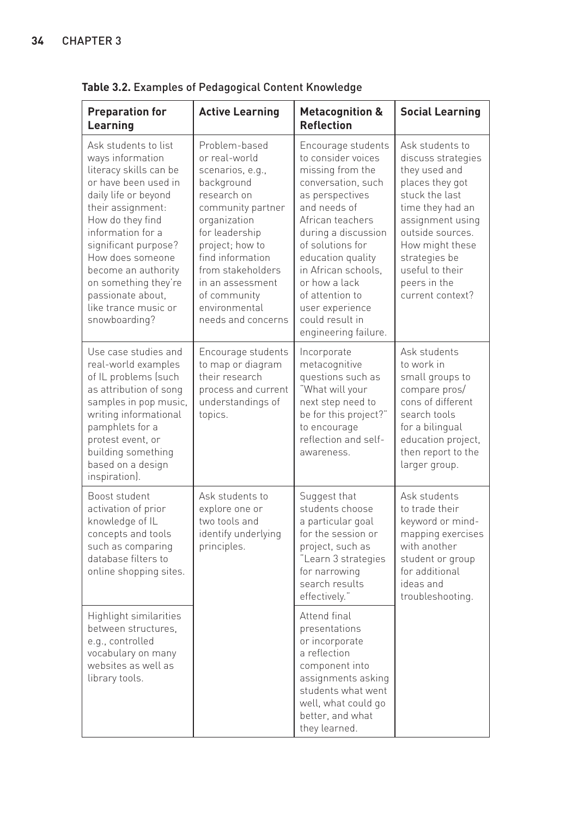| <b>Preparation for</b><br>Learning                                                                                                                                                                                                                                                                                                        | <b>Active Learning</b>                                                                                                                                                                                                                                                        | <b>Metacognition &amp;</b><br><b>Reflection</b>                                                                                                                                                                                                                                                                                    | <b>Social Learning</b>                                                                                                                                                                                                                             |
|-------------------------------------------------------------------------------------------------------------------------------------------------------------------------------------------------------------------------------------------------------------------------------------------------------------------------------------------|-------------------------------------------------------------------------------------------------------------------------------------------------------------------------------------------------------------------------------------------------------------------------------|------------------------------------------------------------------------------------------------------------------------------------------------------------------------------------------------------------------------------------------------------------------------------------------------------------------------------------|----------------------------------------------------------------------------------------------------------------------------------------------------------------------------------------------------------------------------------------------------|
| Ask students to list<br>ways information<br>literacy skills can be<br>or have been used in<br>daily life or beyond<br>their assignment:<br>How do they find<br>information for a<br>significant purpose?<br>How does someone<br>become an authority<br>on something they're<br>passionate about,<br>like trance music or<br>snowboarding? | Problem-based<br>or real-world<br>scenarios, e.g.,<br>background<br>research on<br>community partner<br>organization<br>for leadership<br>project; how to<br>find information<br>from stakeholders<br>in an assessment<br>of community<br>environmental<br>needs and concerns | Encourage students<br>to consider voices<br>missing from the<br>conversation, such<br>as perspectives<br>and needs of<br>African teachers<br>during a discussion<br>of solutions for<br>education quality<br>in African schools,<br>or how a lack<br>of attention to<br>user experience<br>could result in<br>engineering failure. | Ask students to<br>discuss strategies<br>they used and<br>places they got<br>stuck the last<br>time they had an<br>assignment using<br>outside sources.<br>How might these<br>strategies be<br>useful to their<br>peers in the<br>current context? |
| Use case studies and<br>real-world examples<br>of IL problems (such<br>as attribution of song<br>samples in pop music,<br>writing informational<br>pamphlets for a<br>protest event, or<br>building something<br>based on a design<br>inspiration).                                                                                       | Encourage students<br>to map or diagram<br>their research<br>process and current<br>understandings of<br>topics.                                                                                                                                                              | Incorporate<br>metacognitive<br>questions such as<br>"What will your<br>next step need to<br>be for this project?"<br>to encourage<br>reflection and self-<br>awareness.                                                                                                                                                           | Ask students<br>to work in<br>small groups to<br>compare pros/<br>cons of different<br>search tools<br>for a bilingual<br>education project,<br>then report to the<br>larger group.                                                                |
| Boost student<br>activation of prior<br>knowledge of IL<br>concepts and tools<br>such as comparing<br>database filters to<br>online shopping sites.                                                                                                                                                                                       | Ask students to<br>explore one or<br>two tools and<br>identify underlying<br>principles.                                                                                                                                                                                      | Suggest that<br>students choose<br>a particular goal<br>for the session or<br>project, such as<br>"Learn 3 strategies<br>for narrowing<br>search results<br>effectively."                                                                                                                                                          | Ask students<br>to trade their<br>keyword or mind-<br>mapping exercises<br>with another<br>student or group<br>for additional<br>ideas and<br>troubleshooting.                                                                                     |
| Highlight similarities<br>between structures,<br>e.g., controlled<br>vocabulary on many<br>websites as well as<br>library tools.                                                                                                                                                                                                          |                                                                                                                                                                                                                                                                               | Attend final<br>presentations<br>or incorporate<br>a reflection<br>component into<br>assignments asking<br>students what went<br>well, what could go<br>better, and what<br>they learned.                                                                                                                                          |                                                                                                                                                                                                                                                    |

**Table 3.2.** Examples of Pedagogical Content Knowledge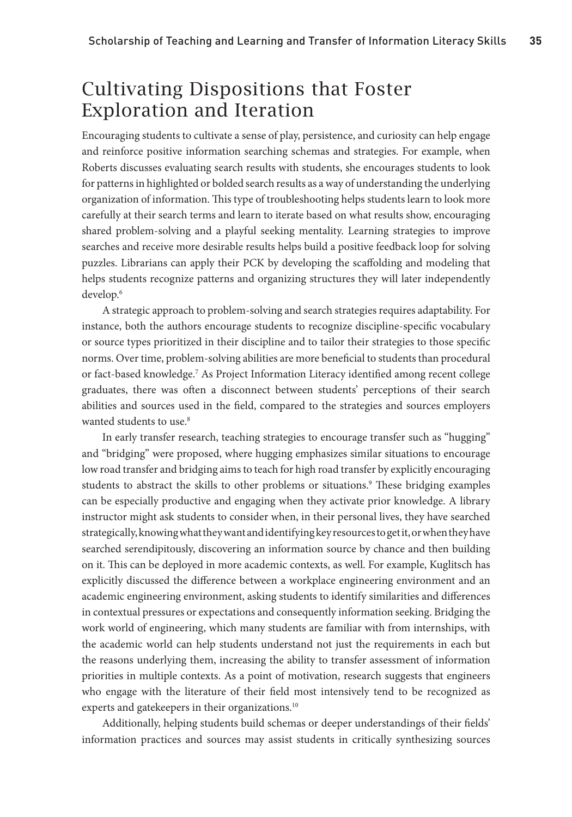## Cultivating Dispositions that Foster Exploration and Iteration

Encouraging students to cultivate a sense of play, persistence, and curiosity can help engage and reinforce positive information searching schemas and strategies. For example, when Roberts discusses evaluating search results with students, she encourages students to look for patterns in highlighted or bolded search results as a way of understanding the underlying organization of information. This type of troubleshooting helps students learn to look more carefully at their search terms and learn to iterate based on what results show, encouraging shared problem-solving and a playful seeking mentality. Learning strategies to improve searches and receive more desirable results helps build a positive feedback loop for solving puzzles. Librarians can apply their PCK by developing the scaffolding and modeling that helps students recognize patterns and organizing structures they will later independently develop.6

A strategic approach to problem-solving and search strategies requires adaptability. For instance, both the authors encourage students to recognize discipline-specific vocabulary or source types prioritized in their discipline and to tailor their strategies to those specific norms. Over time, problem-solving abilities are more beneficial to students than procedural or fact-based knowledge.7 As Project Information Literacy identified among recent college graduates, there was often a disconnect between students' perceptions of their search abilities and sources used in the field, compared to the strategies and sources employers wanted students to use.<sup>8</sup>

In early transfer research, teaching strategies to encourage transfer such as "hugging" and "bridging" were proposed, where hugging emphasizes similar situations to encourage low road transfer and bridging aims to teach for high road transfer by explicitly encouraging students to abstract the skills to other problems or situations.<sup>9</sup> These bridging examples can be especially productive and engaging when they activate prior knowledge. A library instructor might ask students to consider when, in their personal lives, they have searched strategically, knowing what they want and identifying key resources to get it, or when they have searched serendipitously, discovering an information source by chance and then building on it. This can be deployed in more academic contexts, as well. For example, Kuglitsch has explicitly discussed the difference between a workplace engineering environment and an academic engineering environment, asking students to identify similarities and differences in contextual pressures or expectations and consequently information seeking. Bridging the work world of engineering, which many students are familiar with from internships, with the academic world can help students understand not just the requirements in each but the reasons underlying them, increasing the ability to transfer assessment of information priorities in multiple contexts. As a point of motivation, research suggests that engineers who engage with the literature of their field most intensively tend to be recognized as experts and gatekeepers in their organizations.<sup>10</sup>

Additionally, helping students build schemas or deeper understandings of their fields' information practices and sources may assist students in critically synthesizing sources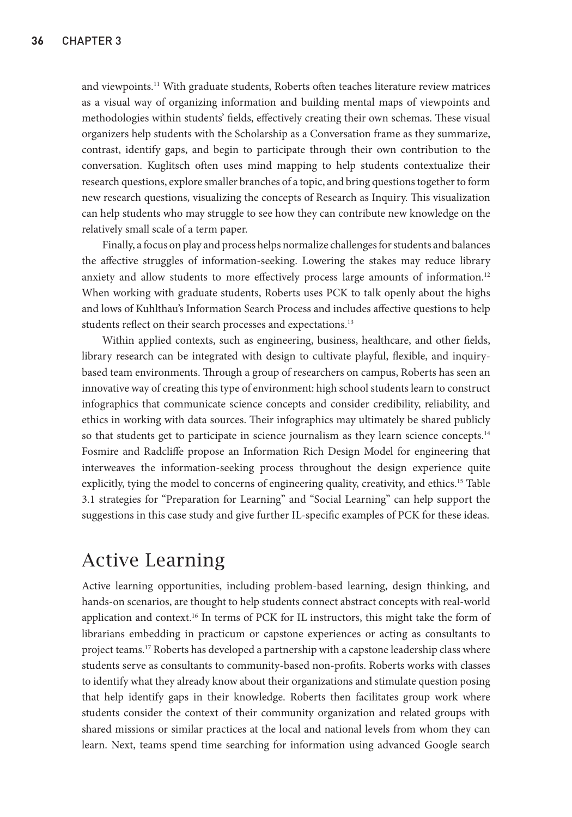and viewpoints.<sup>11</sup> With graduate students, Roberts often teaches literature review matrices as a visual way of organizing information and building mental maps of viewpoints and methodologies within students' fields, effectively creating their own schemas. These visual organizers help students with the Scholarship as a Conversation frame as they summarize, contrast, identify gaps, and begin to participate through their own contribution to the conversation. Kuglitsch often uses mind mapping to help students contextualize their research questions, explore smaller branches of a topic, and bring questions together to form new research questions, visualizing the concepts of Research as Inquiry. This visualization can help students who may struggle to see how they can contribute new knowledge on the relatively small scale of a term paper.

Finally, a focus on play and process helps normalize challenges for students and balances the affective struggles of information-seeking. Lowering the stakes may reduce library anxiety and allow students to more effectively process large amounts of information.<sup>12</sup> When working with graduate students, Roberts uses PCK to talk openly about the highs and lows of Kuhlthau's Information Search Process and includes affective questions to help students reflect on their search processes and expectations.<sup>13</sup>

Within applied contexts, such as engineering, business, healthcare, and other fields, library research can be integrated with design to cultivate playful, flexible, and inquirybased team environments. Through a group of researchers on campus, Roberts has seen an innovative way of creating this type of environment: high school students learn to construct infographics that communicate science concepts and consider credibility, reliability, and ethics in working with data sources. Their infographics may ultimately be shared publicly so that students get to participate in science journalism as they learn science concepts.<sup>14</sup> Fosmire and Radcliffe propose an Information Rich Design Model for engineering that interweaves the information-seeking process throughout the design experience quite explicitly, tying the model to concerns of engineering quality, creativity, and ethics.<sup>15</sup> Table 3.1 strategies for "Preparation for Learning" and "Social Learning" can help support the suggestions in this case study and give further IL-specific examples of PCK for these ideas.

### Active Learning

Active learning opportunities, including problem-based learning, design thinking, and hands-on scenarios, are thought to help students connect abstract concepts with real-world application and context.<sup>16</sup> In terms of PCK for IL instructors, this might take the form of librarians embedding in practicum or capstone experiences or acting as consultants to project teams.<sup>17</sup> Roberts has developed a partnership with a capstone leadership class where students serve as consultants to community-based non-profits. Roberts works with classes to identify what they already know about their organizations and stimulate question posing that help identify gaps in their knowledge. Roberts then facilitates group work where students consider the context of their community organization and related groups with shared missions or similar practices at the local and national levels from whom they can learn. Next, teams spend time searching for information using advanced Google search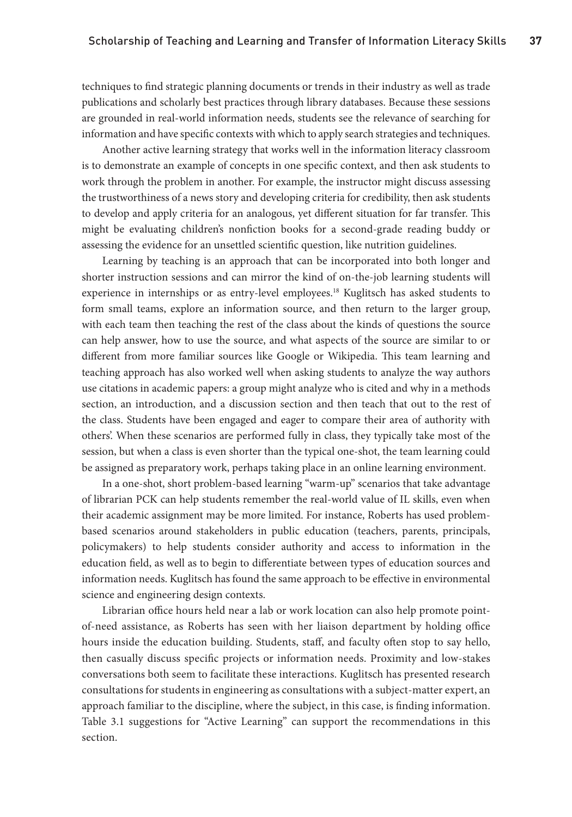techniques to find strategic planning documents or trends in their industry as well as trade publications and scholarly best practices through library databases. Because these sessions are grounded in real-world information needs, students see the relevance of searching for information and have specific contexts with which to apply search strategies and techniques.

Another active learning strategy that works well in the information literacy classroom is to demonstrate an example of concepts in one specific context, and then ask students to work through the problem in another. For example, the instructor might discuss assessing the trustworthiness of a news story and developing criteria for credibility, then ask students to develop and apply criteria for an analogous, yet different situation for far transfer. This might be evaluating children's nonfiction books for a second-grade reading buddy or assessing the evidence for an unsettled scientific question, like nutrition guidelines.

Learning by teaching is an approach that can be incorporated into both longer and shorter instruction sessions and can mirror the kind of on-the-job learning students will experience in internships or as entry-level employees.<sup>18</sup> Kuglitsch has asked students to form small teams, explore an information source, and then return to the larger group, with each team then teaching the rest of the class about the kinds of questions the source can help answer, how to use the source, and what aspects of the source are similar to or different from more familiar sources like Google or Wikipedia. This team learning and teaching approach has also worked well when asking students to analyze the way authors use citations in academic papers: a group might analyze who is cited and why in a methods section, an introduction, and a discussion section and then teach that out to the rest of the class. Students have been engaged and eager to compare their area of authority with others'. When these scenarios are performed fully in class, they typically take most of the session, but when a class is even shorter than the typical one-shot, the team learning could be assigned as preparatory work, perhaps taking place in an online learning environment.

In a one-shot, short problem-based learning "warm-up" scenarios that take advantage of librarian PCK can help students remember the real-world value of IL skills, even when their academic assignment may be more limited. For instance, Roberts has used problembased scenarios around stakeholders in public education (teachers, parents, principals, policymakers) to help students consider authority and access to information in the education field, as well as to begin to differentiate between types of education sources and information needs. Kuglitsch has found the same approach to be effective in environmental science and engineering design contexts.

Librarian office hours held near a lab or work location can also help promote pointof-need assistance, as Roberts has seen with her liaison department by holding office hours inside the education building. Students, staff, and faculty often stop to say hello, then casually discuss specific projects or information needs. Proximity and low-stakes conversations both seem to facilitate these interactions. Kuglitsch has presented research consultations for students in engineering as consultations with a subject-matter expert, an approach familiar to the discipline, where the subject, in this case, is finding information. Table 3.1 suggestions for "Active Learning" can support the recommendations in this section.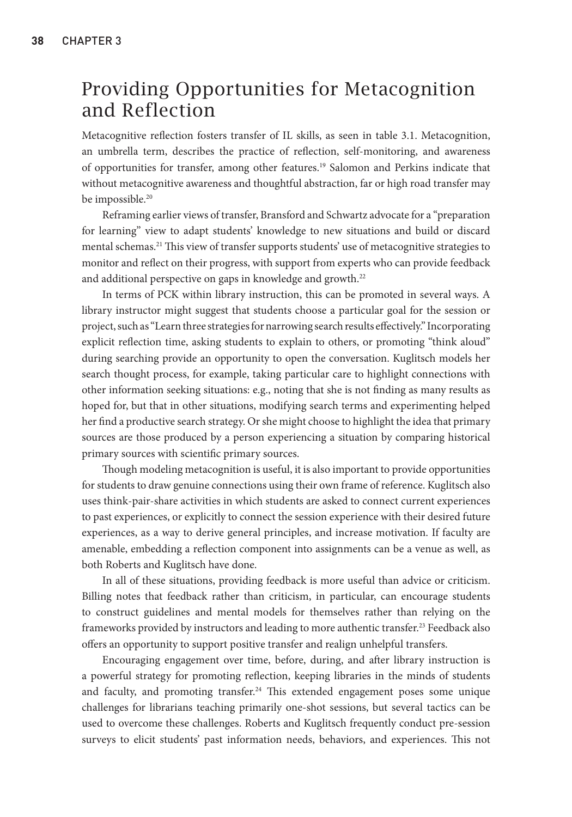## Providing Opportunities for Metacognition and Reflection

Metacognitive reflection fosters transfer of IL skills, as seen in table 3.1. Metacognition, an umbrella term, describes the practice of reflection, self-monitoring, and awareness of opportunities for transfer, among other features.19 Salomon and Perkins indicate that without metacognitive awareness and thoughtful abstraction, far or high road transfer may be impossible.<sup>20</sup>

Reframing earlier views of transfer, Bransford and Schwartz advocate for a "preparation for learning" view to adapt students' knowledge to new situations and build or discard mental schemas.<sup>21</sup> This view of transfer supports students' use of metacognitive strategies to monitor and reflect on their progress, with support from experts who can provide feedback and additional perspective on gaps in knowledge and growth.<sup>22</sup>

In terms of PCK within library instruction, this can be promoted in several ways. A library instructor might suggest that students choose a particular goal for the session or project, such as "Learn three strategies for narrowing search results effectively." Incorporating explicit reflection time, asking students to explain to others, or promoting "think aloud" during searching provide an opportunity to open the conversation. Kuglitsch models her search thought process, for example, taking particular care to highlight connections with other information seeking situations: e.g., noting that she is not finding as many results as hoped for, but that in other situations, modifying search terms and experimenting helped her find a productive search strategy. Or she might choose to highlight the idea that primary sources are those produced by a person experiencing a situation by comparing historical primary sources with scientific primary sources.

Though modeling metacognition is useful, it is also important to provide opportunities for students to draw genuine connections using their own frame of reference. Kuglitsch also uses think-pair-share activities in which students are asked to connect current experiences to past experiences, or explicitly to connect the session experience with their desired future experiences, as a way to derive general principles, and increase motivation. If faculty are amenable, embedding a reflection component into assignments can be a venue as well, as both Roberts and Kuglitsch have done.

In all of these situations, providing feedback is more useful than advice or criticism. Billing notes that feedback rather than criticism, in particular, can encourage students to construct guidelines and mental models for themselves rather than relying on the frameworks provided by instructors and leading to more authentic transfer.<sup>23</sup> Feedback also offers an opportunity to support positive transfer and realign unhelpful transfers.

Encouraging engagement over time, before, during, and after library instruction is a powerful strategy for promoting reflection, keeping libraries in the minds of students and faculty, and promoting transfer.<sup>24</sup> This extended engagement poses some unique challenges for librarians teaching primarily one-shot sessions, but several tactics can be used to overcome these challenges. Roberts and Kuglitsch frequently conduct pre-session surveys to elicit students' past information needs, behaviors, and experiences. This not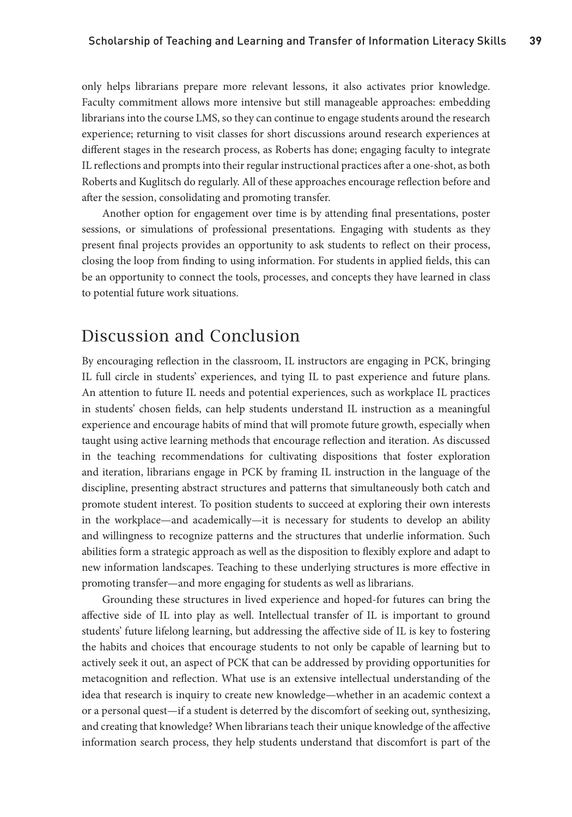only helps librarians prepare more relevant lessons, it also activates prior knowledge. Faculty commitment allows more intensive but still manageable approaches: embedding librarians into the course LMS, so they can continue to engage students around the research experience; returning to visit classes for short discussions around research experiences at different stages in the research process, as Roberts has done; engaging faculty to integrate IL reflections and prompts into their regular instructional practices after a one-shot, as both Roberts and Kuglitsch do regularly. All of these approaches encourage reflection before and after the session, consolidating and promoting transfer.

Another option for engagement over time is by attending final presentations, poster sessions, or simulations of professional presentations. Engaging with students as they present final projects provides an opportunity to ask students to reflect on their process, closing the loop from finding to using information. For students in applied fields, this can be an opportunity to connect the tools, processes, and concepts they have learned in class to potential future work situations.

#### Discussion and Conclusion

By encouraging reflection in the classroom, IL instructors are engaging in PCK, bringing IL full circle in students' experiences, and tying IL to past experience and future plans. An attention to future IL needs and potential experiences, such as workplace IL practices in students' chosen fields, can help students understand IL instruction as a meaningful experience and encourage habits of mind that will promote future growth, especially when taught using active learning methods that encourage reflection and iteration. As discussed in the teaching recommendations for cultivating dispositions that foster exploration and iteration, librarians engage in PCK by framing IL instruction in the language of the discipline, presenting abstract structures and patterns that simultaneously both catch and promote student interest. To position students to succeed at exploring their own interests in the workplace—and academically—it is necessary for students to develop an ability and willingness to recognize patterns and the structures that underlie information. Such abilities form a strategic approach as well as the disposition to flexibly explore and adapt to new information landscapes. Teaching to these underlying structures is more effective in promoting transfer—and more engaging for students as well as librarians.

Grounding these structures in lived experience and hoped-for futures can bring the affective side of IL into play as well. Intellectual transfer of IL is important to ground students' future lifelong learning, but addressing the affective side of IL is key to fostering the habits and choices that encourage students to not only be capable of learning but to actively seek it out, an aspect of PCK that can be addressed by providing opportunities for metacognition and reflection. What use is an extensive intellectual understanding of the idea that research is inquiry to create new knowledge—whether in an academic context a or a personal quest—if a student is deterred by the discomfort of seeking out, synthesizing, and creating that knowledge? When librarians teach their unique knowledge of the affective information search process, they help students understand that discomfort is part of the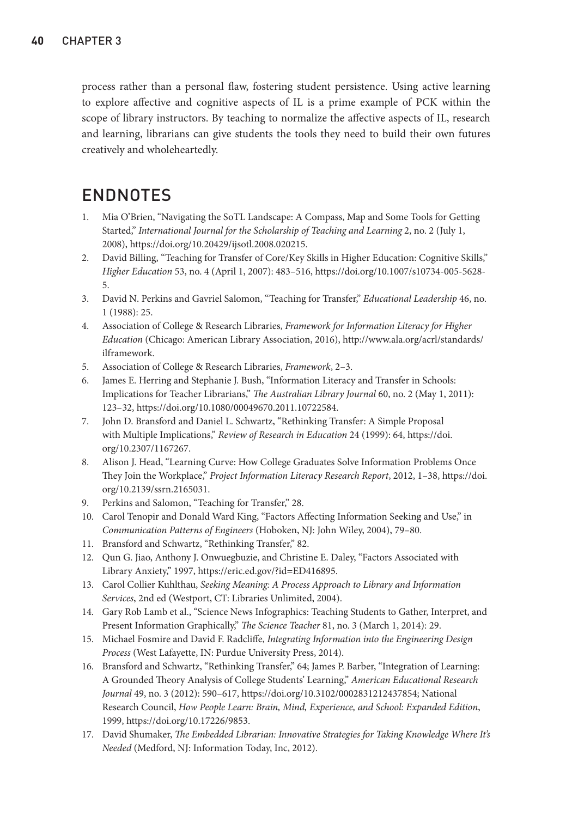process rather than a personal flaw, fostering student persistence. Using active learning to explore affective and cognitive aspects of IL is a prime example of PCK within the scope of library instructors. By teaching to normalize the affective aspects of IL, research and learning, librarians can give students the tools they need to build their own futures creatively and wholeheartedly.

#### ENDNOTES

- 1. Mia O'Brien, "Navigating the SoTL Landscape: A Compass, Map and Some Tools for Getting Started," *International Journal for the Scholarship of Teaching and Learning* 2, no. 2 (July 1, 2008),<https://doi.org/10.20429/ijsotl.2008.020215>.
- 2. David Billing, "Teaching for Transfer of Core/Key Skills in Higher Education: Cognitive Skills," *Higher Education* 53, no. 4 (April 1, 2007): 483–516, [https://doi.org/10.1007/s10734-005-5628-](https://doi.org/10.1007/s10734-005-5628-5) [5](https://doi.org/10.1007/s10734-005-5628-5).
- 3. David N. Perkins and Gavriel Salomon, "Teaching for Transfer," *Educational Leadership* 46, no. 1 (1988): 25.
- 4. Association of College & Research Libraries, *Framework for Information Literacy for Higher Education* (Chicago: American Library Association, 2016), [http://www.ala.org/acrl/standards/](http://www.ala.org/acrl/standards/ilframework) [ilframework](http://www.ala.org/acrl/standards/ilframework).
- 5. Association of College & Research Libraries, *Framework*, 2–3.
- 6. James E. Herring and Stephanie J. Bush, "Information Literacy and Transfer in Schools: Implications for Teacher Librarians," *The Australian Library Journal* 60, no. 2 (May 1, 2011): 123–32,<https://doi.org/10.1080/00049670.2011.10722584>.
- 7. John D. Bransford and Daniel L. Schwartz, "Rethinking Transfer: A Simple Proposal with Multiple Implications," *Review of Research in Education* 24 (1999): 64, [https://doi.](https://doi.org/10.2307/1167267) [org/10.2307/1167267](https://doi.org/10.2307/1167267).
- 8. Alison J. Head, "Learning Curve: How College Graduates Solve Information Problems Once They Join the Workplace," *Project Information Literacy Research Report*, 2012, 1–38, [https://doi.](https://doi.org/10.2139/ssrn.2165031) [org/10.2139/ssrn.2165031](https://doi.org/10.2139/ssrn.2165031).
- 9. Perkins and Salomon, "Teaching for Transfer," 28.
- 10. Carol Tenopir and Donald Ward King, "Factors Affecting Information Seeking and Use," in *Communication Patterns of Engineers* (Hoboken, NJ: John Wiley, 2004), 79–80.
- 11. Bransford and Schwartz, "Rethinking Transfer," 82.
- 12. Qun G. Jiao, Anthony J. Onwuegbuzie, and Christine E. Daley, "Factors Associated with Library Anxiety," 1997, [https://eric.ed.gov/?id=ED416895.](https://eric.ed.gov/?id=ED416895)
- 13. Carol Collier Kuhlthau, *Seeking Meaning: A Process Approach to Library and Information Services*, 2nd ed (Westport, CT: Libraries Unlimited, 2004).
- 14. Gary Rob Lamb et al., "Science News Infographics: Teaching Students to Gather, Interpret, and Present Information Graphically," *The Science Teacher* 81, no. 3 (March 1, 2014): 29.
- 15. Michael Fosmire and David F. Radcliffe, *Integrating Information into the Engineering Design Process* (West Lafayette, IN: Purdue University Press, 2014).
- 16. Bransford and Schwartz, "Rethinking Transfer," 64; James P. Barber, "Integration of Learning: A Grounded Theory Analysis of College Students' Learning," *American Educational Research Journal* 49, no. 3 (2012): 590–617, <https://doi.org/10.3102/0002831212437854>; National Research Council, *How People Learn: Brain, Mind, Experience, and School: Expanded Edition*, 1999,<https://doi.org/10.17226/9853>.
- 17. David Shumaker, *The Embedded Librarian: Innovative Strategies for Taking Knowledge Where It's Needed* (Medford, NJ: Information Today, Inc, 2012).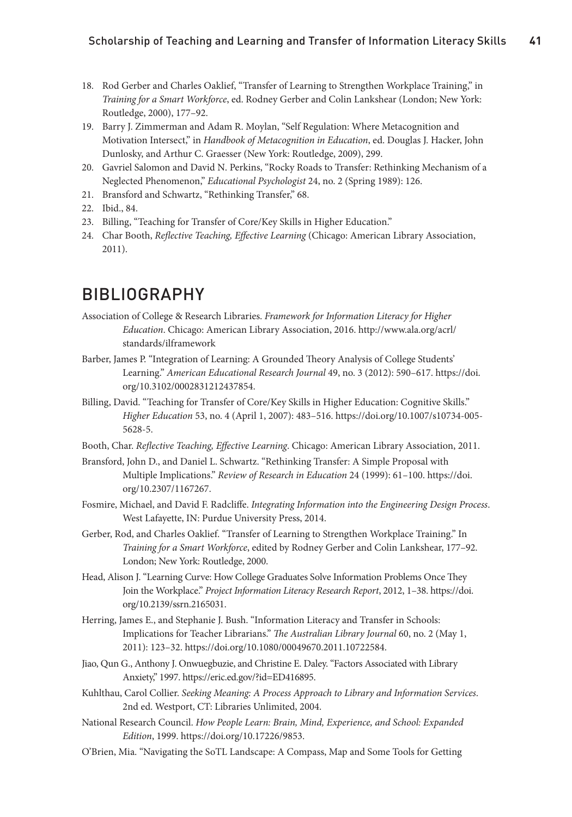- 18. Rod Gerber and Charles Oaklief, "Transfer of Learning to Strengthen Workplace Training," in *Training for a Smart Workforce*, ed. Rodney Gerber and Colin Lankshear (London; New York: Routledge, 2000), 177–92.
- 19. Barry J. Zimmerman and Adam R. Moylan, "Self Regulation: Where Metacognition and Motivation Intersect," in *Handbook of Metacognition in Education*, ed. Douglas J. Hacker, John Dunlosky, and Arthur C. Graesser (New York: Routledge, 2009), 299.
- 20. Gavriel Salomon and David N. Perkins, "Rocky Roads to Transfer: Rethinking Mechanism of a Neglected Phenomenon," *Educational Psychologist* 24, no. 2 (Spring 1989): 126.
- 21. Bransford and Schwartz, "Rethinking Transfer," 68.
- 22. Ibid., 84.
- 23. Billing, "Teaching for Transfer of Core/Key Skills in Higher Education."
- 24. Char Booth, *Reflective Teaching, Effective Learning* (Chicago: American Library Association, 2011).

#### BIBLIOGRAPHY

- Association of College & Research Libraries. *Framework for Information Literacy for Higher Education*. Chicago: American Library Association, 2016. [http://www.ala.org/acrl/](http://www.ala.org/acrl/standards/ilframework) [standards/ilframework](http://www.ala.org/acrl/standards/ilframework)
- Barber, James P. "Integration of Learning: A Grounded Theory Analysis of College Students' Learning." *American Educational Research Journal* 49, no. 3 (2012): 590–617. [https://doi.](https://doi.org/10.3102/0002831212437854) [org/10.3102/0002831212437854](https://doi.org/10.3102/0002831212437854).
- Billing, David. "Teaching for Transfer of Core/Key Skills in Higher Education: Cognitive Skills." *Higher Education* 53, no. 4 (April 1, 2007): 483–516. [https://doi.org/10.1007/s10734-005-](https://doi.org/10.1007/s10734-005-5628-5) [5628-5.](https://doi.org/10.1007/s10734-005-5628-5)
- Booth, Char. *Reflective Teaching, Effective Learning*. Chicago: American Library Association, 2011.
- Bransford, John D., and Daniel L. Schwartz. "Rethinking Transfer: A Simple Proposal with Multiple Implications." *Review of Research in Education* 24 (1999): 61–100. [https://doi.](https://doi.org/10.2307/1167267) [org/10.2307/1167267](https://doi.org/10.2307/1167267).
- Fosmire, Michael, and David F. Radcliffe. *Integrating Information into the Engineering Design Process*. West Lafayette, IN: Purdue University Press, 2014.
- Gerber, Rod, and Charles Oaklief. "Transfer of Learning to Strengthen Workplace Training." In *Training for a Smart Workforce*, edited by Rodney Gerber and Colin Lankshear, 177–92. London; New York: Routledge, 2000.
- Head, Alison J. "Learning Curve: How College Graduates Solve Information Problems Once They Join the Workplace." *Project Information Literacy Research Report*, 2012, 1–38. [https://doi.](https://doi.org/10.2139/ssrn.2165031) [org/10.2139/ssrn.2165031.](https://doi.org/10.2139/ssrn.2165031)
- Herring, James E., and Stephanie J. Bush. "Information Literacy and Transfer in Schools: Implications for Teacher Librarians." *The Australian Library Journal* 60, no. 2 (May 1, 2011): 123–32. [https://doi.org/10.1080/00049670.2011.10722584.](https://doi.org/10.1080/00049670.2011.10722584)
- Jiao, Qun G., Anthony J. Onwuegbuzie, and Christine E. Daley. "Factors Associated with Library Anxiety," 1997. <https://eric.ed.gov/?id=ED416895>.
- Kuhlthau, Carol Collier. *Seeking Meaning: A Process Approach to Library and Information Services*. 2nd ed. Westport, CT: Libraries Unlimited, 2004.
- National Research Council. *How People Learn: Brain, Mind, Experience, and School: Expanded Edition*, 1999.<https://doi.org/10.17226/9853>.
- O'Brien, Mia. "Navigating the SoTL Landscape: A Compass, Map and Some Tools for Getting